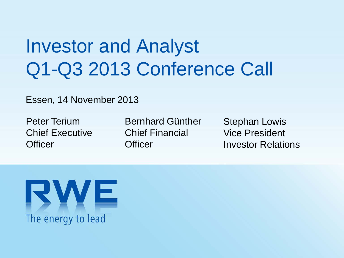# Investor and Analyst Q1-Q3 2013 Conference Call

Essen, 14 November 2013

Peter Terium Chief Executive **Officer** 

Bernhard Günther Chief Financial **Officer** 

Stephan Lowis Vice President Investor Relations

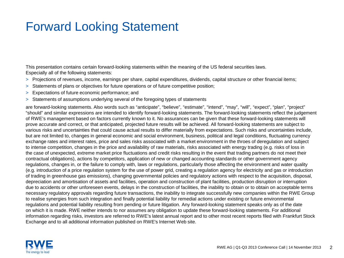### Forward Looking Statement

This presentation contains certain forward-looking statements within the meaning of the US federal securities laws. Especially all of the following statements:

- > Projections of revenues, income, earnings per share, capital expenditures, dividends, capital structure or other financial items;
- > Statements of plans or objectives for future operations or of future competitive position;
- > Expectations of future economic performance; and
- > Statements of assumptions underlying several of the foregoing types of statements

are forward-looking statements. Also words such as "anticipate", "believe", "estimate", "intend", "may", "will", "expect", "plan", "project" "should" and similar expressions are intended to identify forward-looking statements. The forward-looking statements reflect the judgement of RWE's management based on factors currently known to it. No assurances can be given that these forward-looking statements will prove accurate and correct, or that anticipated, projected future results will be achieved. All forward-looking statements are subject to various risks and uncertainties that could cause actual results to differ materially from expectations. Such risks and uncertainties include, but are not limited to, changes in general economic and social environment, business, political and legal conditions, fluctuating currency exchange rates and interest rates, price and sales risks associated with a market environment in the throes of deregulation and subject to intense competition, changes in the price and availability of raw materials, risks associated with energy trading (e.g. risks of loss in the case of unexpected, extreme market price fluctuations and credit risks resulting in the event that trading partners do not meet their contractual obligations), actions by competitors, application of new or changed accounting standards or other government agency regulations, changes in, or the failure to comply with, laws or regulations, particularly those affecting the environment and water quality (e.g. introduction of a price regulation system for the use of power grid, creating a regulation agency for electricity and gas or introduction of trading in greenhouse gas emissions), changing governmental policies and regulatory actions with respect to the acquisition, disposal, depreciation and amortisation of assets and facilities, operation and construction of plant facilities, production disruption or interruption due to accidents or other unforeseen events, delays in the construction of facilities, the inability to obtain or to obtain on acceptable terms necessary regulatory approvals regarding future transactions, the inability to integrate successfully new companies within the RWE Group to realise synergies from such integration and finally potential liability for remedial actions under existing or future environmental regulations and potential liability resulting from pending or future litigation. Any forward-looking statement speaks only as of the date on which it is made. RWE neither intends to nor assumes any obligation to update these forward-looking statements. For additional information regarding risks, investors are referred to RWE's latest annual report and to other most recent reports filed with Frankfurt Stock Exchange and to all additional information published on RWE's Internet Web site.

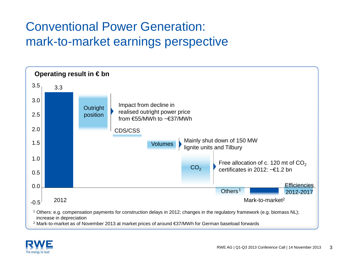# Conventional Power Generation: mark-to-market earnings perspective



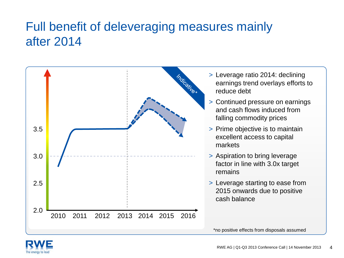### Full benefit of deleveraging measures mainly after 2014



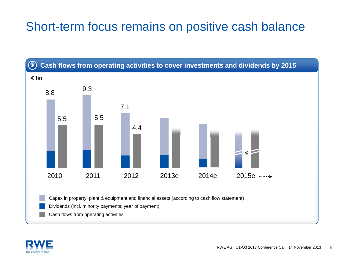### Short-term focus remains on positive cash balance



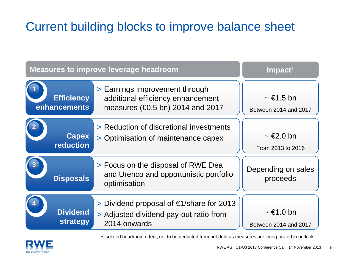# Current building blocks to improve balance sheet

| <b>Measures to improve leverage headroom</b> | $Im$ pact <sup>1</sup>                                                                                             |                                                 |
|----------------------------------------------|--------------------------------------------------------------------------------------------------------------------|-------------------------------------------------|
| <b>Efficiency</b><br>enhancements            | > Earnings improvement through<br>additional efficiency enhancement<br>measures ( $\epsilon$ 0.5 bn) 2014 and 2017 | $\sim \epsilon$ 1.5 bn<br>Between 2014 and 2017 |
| <b>Capex</b><br>reduction                    | > Reduction of discretional investments<br>> Optimisation of maintenance capex                                     | $\sim \epsilon 2.0$ bn<br>From 2013 to 2016     |
| <b>Disposals</b>                             | > Focus on the disposal of RWE Dea<br>and Urenco and opportunistic portfolio<br>optimisation                       | Depending on sales<br>proceeds                  |
| <b>Dividend</b><br>strategy                  | > Dividend proposal of $\epsilon$ 1/share for 2013<br>> Adjusted dividend pay-out ratio from<br>2014 onwards       | $\sim \epsilon$ 1.0 bn<br>Between 2014 and 2017 |

<sup>1</sup> Isolated headroom effect; not to be deducted from net debt as measures are incorporated in outlook.

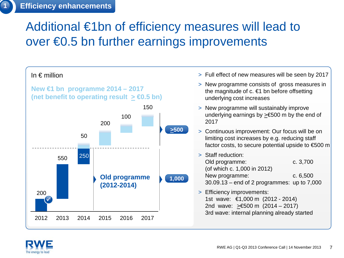### Additional €1bn of efficiency measures will lead to over €0.5 bn further earnings improvements

In  $\epsilon$  million  $\epsilon$  million



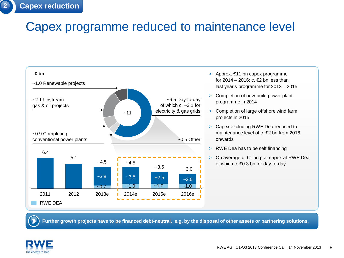### Capex programme reduced to maintenance level



- > Approx. €11 bn capex programme for 2014 – 2016; c.  $E$  bn less than last year's programme for 2013 – 2015
- > Completion of new-build power plant programme in 2014
- > Completion of large offshore wind farm projects in 2015
- > Capex excluding RWE Dea reduced to maintenance level of c. €2 bn from 2016 onwards
- > RWE Dea has to be self financing
- > On average c. €1 bn p.a. capex at RWE Dea of which c. €0.3 bn for day-to-day

**Further growth projects have to be financed debt-neutral, e.g. by the disposal of other assets or partnering solutions.**

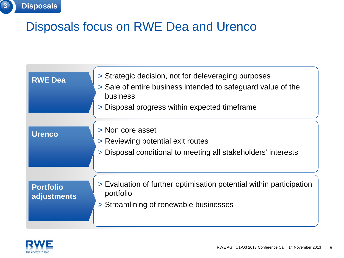| <b>RWE Dea</b>                  | > Strategic decision, not for deleveraging purposes<br>> Sale of entire business intended to safeguard value of the<br>business<br>> Disposal progress within expected timeframe |
|---------------------------------|----------------------------------------------------------------------------------------------------------------------------------------------------------------------------------|
| <b>Urenco</b>                   | > Non core asset<br>> Reviewing potential exit routes<br>> Disposal conditional to meeting all stakeholders' interests                                                           |
| <b>Portfolio</b><br>adjustments | > Evaluation of further optimisation potential within participation<br>portfolio<br>> Streamlining of renewable businesses                                                       |



**3 Disposals**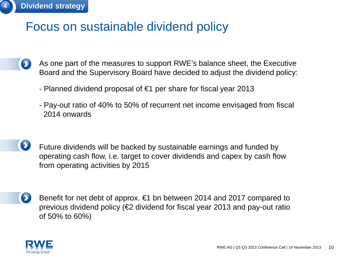

### Focus on sustainable dividend policy

- As one part of the measures to support RWE's balance sheet, the Executive Board and the Supervisory Board have decided to adjust the dividend policy:
	- Planned dividend proposal of €1 per share for fiscal year 2013
	- Pay-out ratio of 40% to 50% of recurrent net income envisaged from fiscal 2014 onwards
- Future dividends will be backed by sustainable earnings and funded by operating cash flow, i.e. target to cover dividends and capex by cash flow from operating activities by 2015
- Benefit for net debt of approx. €1 bn between 2014 and 2017 compared to previous dividend policy (€2 dividend for fiscal year 2013 and pay-out ratio of 50% to 60%)

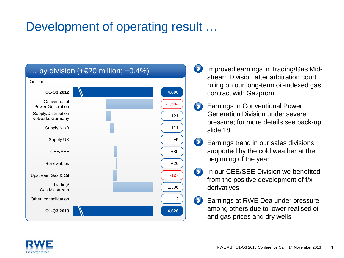### Development of operating result ...



- Improved earnings in Trading/Gas Mid- $\bullet$ stream Division after arbitration court ruling on our long-term oil-indexed gas contract with Gazprom
- Earnings in Conventional Power  $\bullet$ Generation Division under severe pressure; for more details see back-up slide 18
- Earnings trend in our sales divisions supported by the cold weather at the beginning of the year
- In our CEE/SEE Division we benefited  $\bullet$ from the positive development of f/x derivatives
- Earnings at RWE Dea under pressure among others due to lower realised oil and gas prices and dry wells

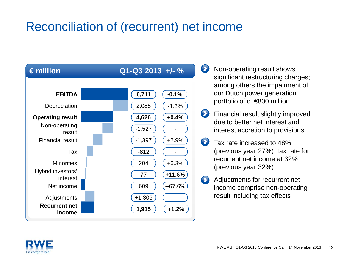### Reconciliation of (recurrent) net income



- $\mathbf{\Omega}$ Non-operating result shows significant restructuring charges; among others the impairment of our Dutch power generation portfolio of c. €800 million
- $\bullet$ Financial result slightly improved due to better net interest and interest accretion to provisions
- $\bullet$ Tax rate increased to 48% (previous year 27%); tax rate for recurrent net income at 32% (previous year 32%)
- $\bullet$ Adjustments for recurrent net income comprise non-operating result including tax effects

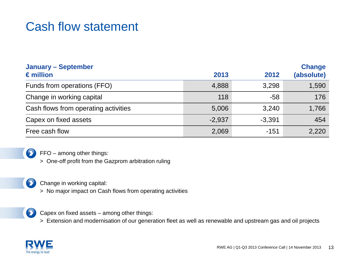### Cash flow statement

| <b>January - September</b><br>$\epsilon$ million | 2013     | 2012     | <b>Change</b><br>(absolute) |
|--------------------------------------------------|----------|----------|-----------------------------|
| Funds from operations (FFO)                      | 4,888    | 3,298    | 1,590                       |
| Change in working capital                        | 118      | $-58$    | 176                         |
| Cash flows from operating activities             | 5,006    | 3,240    | 1,766                       |
| Capex on fixed assets                            | $-2,937$ | $-3,391$ | 454                         |
| Free cash flow                                   | 2,069    | $-151$   | 2,220                       |



FFO – among other things:

> One-off profit from the Gazprom arbitration ruling

Change in working capital:

> No major impact on Cash flows from operating activities



 $\bullet$ 

Capex on fixed assets – among other things:

> Extension and modernisation of our generation fleet as well as renewable and upstream gas and oil projects

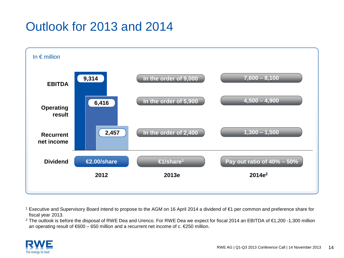## Outlook for 2013 and 2014



<sup>1</sup> Executive and Supervisory Board intend to propose to the AGM on 16 April 2014 a dividend of €1 per common and preference share for fiscal year 2013.

<sup>2</sup> The outlook is before the disposal of RWE Dea and Urenco. For RWE Dea we expect for fiscal 2014 an EBITDA of €1,200 -1,300 million an operating result of  $600 - 650$  million and a recurrent net income of c.  $6250$  million.

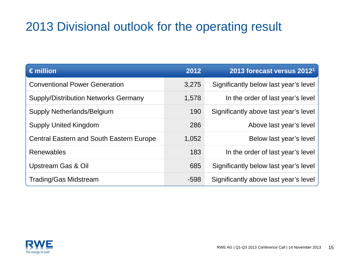### 2013 Divisional outlook for the operating result

| $\epsilon$ million                              | 2012   | 2013 forecast versus 2012 <sup>1</sup> |
|-------------------------------------------------|--------|----------------------------------------|
| <b>Conventional Power Generation</b>            | 3,275  | Significantly below last year's level  |
| <b>Supply/Distribution Networks Germany</b>     | 1,578  | In the order of last year's level      |
| Supply Netherlands/Belgium                      | 190    | Significantly above last year's level  |
| <b>Supply United Kingdom</b>                    | 286    | Above last year's level                |
| <b>Central Eastern and South Eastern Europe</b> | 1,052  | Below last year's level                |
| <b>Renewables</b>                               | 183    | In the order of last year's level      |
| Upstream Gas & Oil                              | 685    | Significantly below last year's level  |
| <b>Trading/Gas Midstream</b>                    | $-598$ | Significantly above last year's level  |

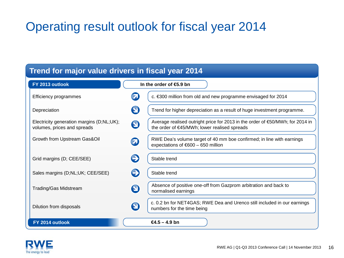### Operating result outlook for fiscal year 2014

| Trend for major value drivers in fiscal year 2014                        |                                                                                                                                                   |  |
|--------------------------------------------------------------------------|---------------------------------------------------------------------------------------------------------------------------------------------------|--|
| FY 2013 outlook                                                          | In the order of $6.9$ bn                                                                                                                          |  |
| Efficiency programmes                                                    | 7<br>c. €300 million from old and new programme envisaged for 2014                                                                                |  |
| Depreciation                                                             | 9<br>Trend for higher depreciation as a result of huge investment programme.                                                                      |  |
| Electricity generation margins (D;NL;UK);<br>volumes, prices and spreads | Average realised outright price for 2013 in the order of €50/MWh; for 2014 in<br>$\mathbf \Theta$<br>the order of €45/MWh; lower realised spreads |  |
| Growth from Upstream Gas&Oil                                             | RWE Dea's volume target of 40 mm boe confirmed; in line with earnings<br>$\boldsymbol{\Omega}$<br>expectations of $600 - 650$ million             |  |
| Grid margins (D; CEE/SEE)                                                | $\bigodot$<br>Stable trend                                                                                                                        |  |
| Sales margins (D;NL;UK; CEE/SEE)                                         | $\bigodot$<br>Stable trend                                                                                                                        |  |
| Trading/Gas Midstream                                                    | Absence of positive one-off from Gazprom arbitration and back to<br>$\boldsymbol{\Theta}$<br>normalised earnings                                  |  |
| Dilution from disposals                                                  | c. 0.2 bn for NET4GAS; RWE Dea and Urenco still included in our earnings<br>$\boldsymbol{\Theta}$<br>numbers for the time being                   |  |
| FY 2014 outlook                                                          | $64.5 - 4.9$ bn                                                                                                                                   |  |

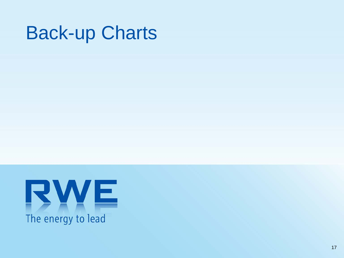# Back-up Charts

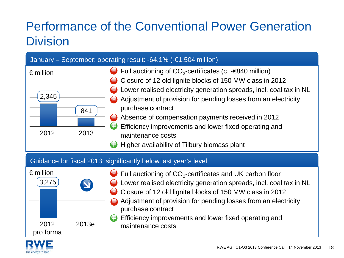# Performance of the Conventional Power Generation **Division**

| January – September: operating result: $-64.1\%$ ( $-61.504$ million) |                                                                                                                                                                                                                                                                                                                                                                                                                                                                                         |  |
|-----------------------------------------------------------------------|-----------------------------------------------------------------------------------------------------------------------------------------------------------------------------------------------------------------------------------------------------------------------------------------------------------------------------------------------------------------------------------------------------------------------------------------------------------------------------------------|--|
| $\epsilon$ million<br>2,345<br>841<br>2012<br>2013                    | Full auctioning of $CO_2$ -certificates (c. - $\epsilon$ 840 million)<br>Closure of 12 old lignite blocks of 150 MW class in 2012<br>Lower realised electricity generation spreads, incl. coal tax in NL<br>Adjustment of provision for pending losses from an electricity<br>purchase contract<br>Absence of compensation payments received in 2012<br>Efficiency improvements and lower fixed operating and<br>Ð<br>maintenance costs<br>Higher availability of Tilbury biomass plant |  |
| Guidance for fiscal 2013: significantly below last year's level       |                                                                                                                                                                                                                                                                                                                                                                                                                                                                                         |  |

| $\epsilon$ million<br>3,275 |       | $\bigcirc$ Full auctioning of CO <sub>2</sub> -certificates and UK carbon floor<br>◯ Lower realised electricity generation spreads, incl. coal tax in NL<br>Closure of 12 old lignite blocks of 150 MW class in 2012<br>Adjustment of provision for pending losses from an electricity<br>purchase contract<br><b>A</b> Efficiency improvements and lower fixed operating and |
|-----------------------------|-------|-------------------------------------------------------------------------------------------------------------------------------------------------------------------------------------------------------------------------------------------------------------------------------------------------------------------------------------------------------------------------------|
| 2012<br>pro forma           | 2013e | maintenance costs                                                                                                                                                                                                                                                                                                                                                             |

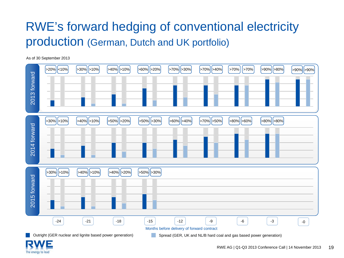# RWE's forward hedging of conventional electricity production (German, Dutch and UK portfolio)

As of 30 September 2013



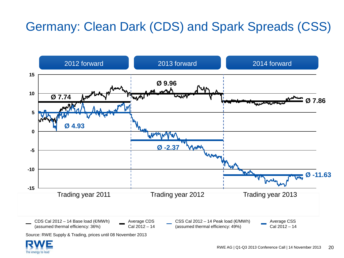# Germany: Clean Dark (CDS) and Spark Spreads (CSS)



Source: RWE Supply & Trading, prices until 08 November 2013

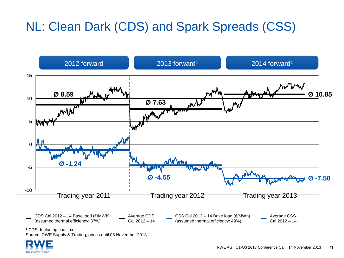# NL: Clean Dark (CDS) and Spark Spreads (CSS)



<sup>1</sup> CDS: Including coal tax

Source: RWE Supply & Trading, prices until 08 November 2013

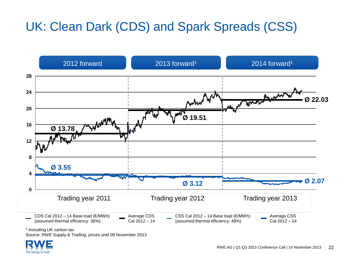# UK: Clean Dark (CDS) and Spark Spreads (CSS)



<sup>1</sup> Including UK carbon tax

Source: RWE Supply & Trading, prices until 08 November 2013

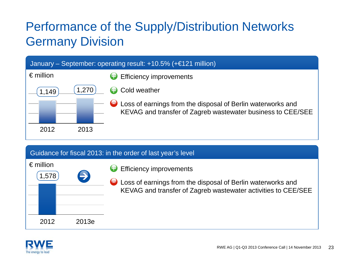# Performance of the Supply/Distribution Networks Germany Division

| January – September: operating result: $+10.5\%$ ( $+ \in 121$ million) |      |                                                                                                                            |
|-------------------------------------------------------------------------|------|----------------------------------------------------------------------------------------------------------------------------|
| $\epsilon$ million                                                      |      | <b>Efficiency improvements</b>                                                                                             |
| 149                                                                     | ,270 | (Dold weather                                                                                                              |
|                                                                         |      | Loss of earnings from the disposal of Berlin waterworks and<br>KEVAG and transfer of Zagreb wastewater business to CEE/SEE |
| 2012                                                                    | 2013 |                                                                                                                            |

#### Guidance for fiscal 2013: in the order of last year's level

| $\epsilon$ million<br>(1,578) | $\rightarrow$ |  |
|-------------------------------|---------------|--|
|                               |               |  |
| 2012                          | 2013e         |  |
|                               |               |  |

- **B** Efficiency improvements
- **C** Loss of earnings from the disposal of Berlin waterworks and KEVAG and transfer of Zagreb wastewater activities to CEE/SEE

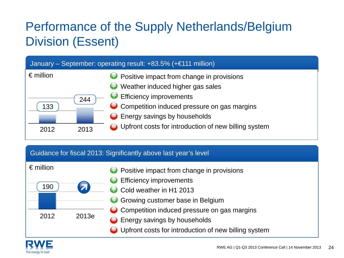# Performance of the Supply Netherlands/Belgium Division (Essent)



Guidance for fiscal 2013: Significantly above last year's level



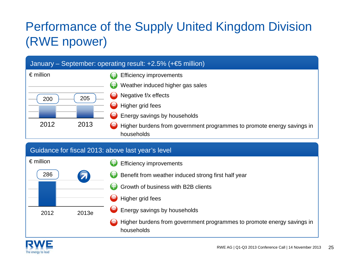# Performance of the Supply United Kingdom Division (RWE npower)



#### Guidance for fiscal 2013: above last year's level



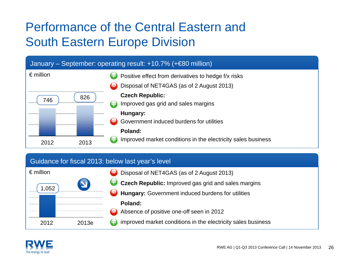# Performance of the Central Eastern and South Eastern Europe Division



#### Guidance for fiscal 2013: below last year's level

| $\epsilon$ million |       | Disposal of NET4GAS (as of 2 August 2013)                               |
|--------------------|-------|-------------------------------------------------------------------------|
|                    |       | Czech Republic: Improved gas grid and sales margins                     |
| 1,052              |       | Hungary: Government induced burdens for utilities                       |
|                    |       | Poland:                                                                 |
|                    |       | Absence of positive one-off seen in 2012<br>$\blacksquare$              |
| 2012               | 2013e | $\bigodot$ improved market conditions in the electricity sales business |

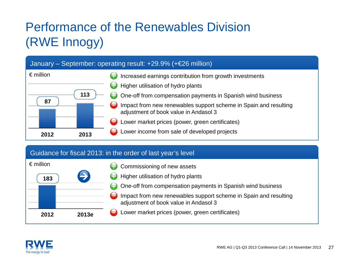# Performance of the Renewables Division (RWE Innogy)

#### January – September: operating result: +29.9% (+€26 million)



#### Guidance for fiscal 2013: in the order of last year's level



- Commissioning of new assets
- Higher utilisation of hydro plants
- One-off from compensation payments in Spanish wind business
- Impact from new renewables support scheme in Spain and resulting adjustment of book value in Andasol 3
- Lower market prices (power, green certificates)

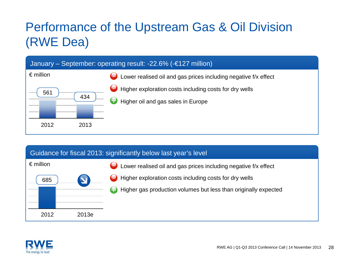# Performance of the Upstream Gas & Oil Division (RWE Dea)



#### Guidance for fiscal 2013: significantly below last year's level



- Lower realised oil and gas prices including negative f/x effect
- Higher exploration costs including costs for dry wells
- $\bigodot$  Higher gas production volumes but less than originally expected

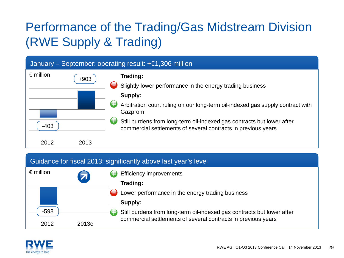# Performance of the Trading/Gas Midstream Division (RWE Supply & Trading)

|                    |        | January – September: operating result: $+ \in 1,306$ million                                                                                                                                                                                                                    |
|--------------------|--------|---------------------------------------------------------------------------------------------------------------------------------------------------------------------------------------------------------------------------------------------------------------------------------|
| $\epsilon$ million | $+903$ | Trading:<br>$\blacksquare$<br>Slightly lower performance in the energy trading business<br>Supply:<br>Arbitration court ruling on our long-term oil-indexed gas supply contract with<br>Gazprom<br>ŧЭ<br>Still burdens from long-term oil-indexed gas contracts but lower after |
| $-403$<br>2012     | 2013   | commercial settlements of several contracts in previous years                                                                                                                                                                                                                   |

#### Guidance for fiscal 2013: significantly above last year's level

| $\epsilon$ million | $\boldsymbol{\mathcal{Z}}$ | <b>Efficiency improvements</b>                                               |
|--------------------|----------------------------|------------------------------------------------------------------------------|
|                    |                            | Trading:                                                                     |
|                    |                            | Lower performance in the energy trading business                             |
|                    |                            | Supply:                                                                      |
| -598               |                            | Still burdens from long-term oil-indexed gas contracts but lower after<br>€∃ |
| 2012               | 2013e                      | commercial settlements of several contracts in previous years                |

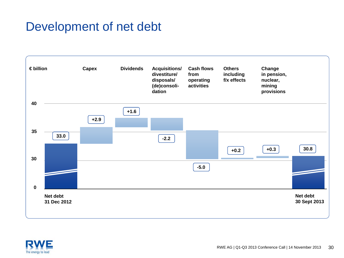### Development of net debt



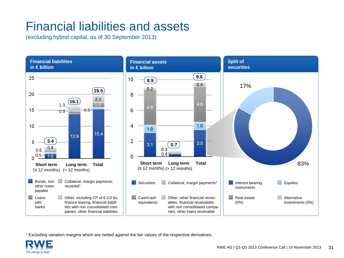### Financial liabilities and assets

(excluding hybrid capital, as of 30 September 2013)



<sup>1</sup> Excluding variation margins which are netted against the fair values of the respective derivatives.

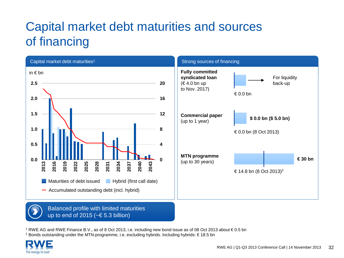# Capital market debt maturities and sources of financing



<sup>1</sup> RWE AG and RWE Finance B.V., as of 8 Oct 2013, i.e. including new bond issue as of 08 Oct 2013 about € 0.5 bn <sup>2</sup> Bonds outstanding under the MTN-programme, i.e. excluding hybrids. Including hybrids: € 18.5 bn

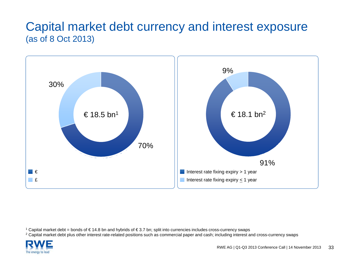### Capital market debt currency and interest exposure (as of 8 Oct 2013)



<sup>2</sup> Capital market debt plus other interest rate-related positions such as commercial paper and cash; including interest and cross-currency swaps



<sup>1</sup> Capital market debt = bonds of € 14.8 bn and hybrids of € 3.7 bn; split into currencies includes cross-currency swaps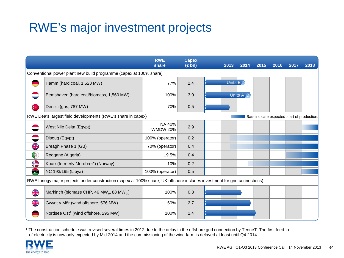### RWE's major investment projects

|                                                                                                                          |                                                                   | <b>RWE</b><br>share       | <b>Capex</b><br>$(\in$ bn) |  | 2013       | 2014      | 2015 | 2016 | 2017 | 2018 |
|--------------------------------------------------------------------------------------------------------------------------|-------------------------------------------------------------------|---------------------------|----------------------------|--|------------|-----------|------|------|------|------|
| Conventional power plant new build programme (capex at 100% share)                                                       |                                                                   |                           |                            |  |            |           |      |      |      |      |
|                                                                                                                          | Hamm (hard coal, 1,528 MW)                                        | 77%                       | 2.4                        |  | Units $ED$ |           |      |      |      |      |
|                                                                                                                          | Eemshaven (hard coal/biomass, 1,560 MW)                           | 100%                      | 3.0                        |  |            | Units A B |      |      |      |      |
| $\mathbf{C}^*$                                                                                                           | Denizli (gas, 787 MW)                                             | 70%                       | 0.5                        |  |            |           |      |      |      |      |
| RWE Dea's largest field developments (RWE's share in capex)<br>Bars indicate expected start of production.               |                                                                   |                           |                            |  |            |           |      |      |      |      |
|                                                                                                                          | West Nile Delta (Egypt)                                           | NA 40%<br><b>WMDW 20%</b> | 2.9                        |  |            |           |      |      |      |      |
|                                                                                                                          | Disouq (Egypt)                                                    | 100% (operator)           | 0.2                        |  |            |           |      |      |      |      |
| $\frac{\text{N}}{\text{N}}$                                                                                              | Breagh Phase 1 (GB)                                               | 70% (operator)            | 0.4                        |  |            |           |      |      |      |      |
| G                                                                                                                        | Reggane (Algeria)                                                 | 19.5%                     | 0.4                        |  |            |           |      |      |      |      |
| €                                                                                                                        | Knarr (formerly "Jordbær") (Norway)                               | 10%                       | 0.2                        |  |            |           |      |      |      |      |
| œ                                                                                                                        | NC 193/195 (Libya)                                                | 100% (operator)           | 0.5                        |  |            |           |      |      |      |      |
| RWE Innogy major projects under construction (capex at 100% share; UK offshore includes investment for grid connections) |                                                                   |                           |                            |  |            |           |      |      |      |      |
| $rac{\sqrt{2}}{\sqrt{2}}$                                                                                                | Markinch (biomass CHP, 46 MW <sub>e</sub> , 88 MW <sub>th</sub> ) | 100%                      | 0.3                        |  |            |           |      |      |      |      |
| $\frac{\text{N}}{\text{N}}$                                                                                              | Gwynt y Môr (wind offshore, 576 MW)                               | 60%                       | 2.7                        |  |            |           |      |      |      |      |
|                                                                                                                          | Nordsee Ost <sup>1</sup> (wind offshore, 295 MW)                  | 100%                      | 1.4                        |  |            |           |      |      |      |      |

<sup>1</sup> The construction schedule was revised several times in 2012 due to the delay in the offshore grid connection by TenneT. The first feed-in of electricity is now only expected by Mid 2014 and the commissioning of the wind farm is delayed at least until Q4 2014.